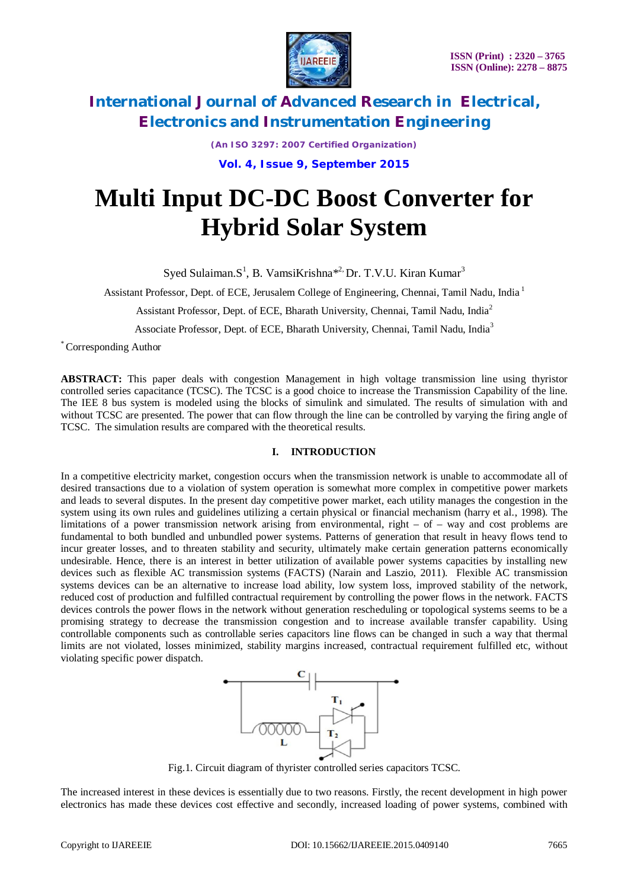

*(An ISO 3297: 2007 Certified Organization)* **Vol. 4, Issue 9, September 2015**

# **Multi Input DC-DC Boost Converter for Hybrid Solar System**

Syed Sulaiman.S<sup>1</sup>, B. VamsiKrishna<sup>\*2,</sup> Dr. T.V.U. Kiran Kumar<sup>3</sup>

Assistant Professor, Dept. of ECE, Jerusalem College of Engineering, Chennai, Tamil Nadu, India<sup>1</sup>

Assistant Professor, Dept. of ECE, Bharath University, Chennai, Tamil Nadu, India<sup>2</sup>

Associate Professor, Dept. of ECE, Bharath University, Chennai, Tamil Nadu, India<sup>3</sup>

\* Corresponding Author

**ABSTRACT:** This paper deals with congestion Management in high voltage transmission line using thyristor controlled series capacitance (TCSC). The TCSC is a good choice to increase the Transmission Capability of the line. The IEE 8 bus system is modeled using the blocks of simulink and simulated. The results of simulation with and without TCSC are presented. The power that can flow through the line can be controlled by varying the firing angle of TCSC. The simulation results are compared with the theoretical results.

### **I. INTRODUCTION**

In a competitive electricity market, congestion occurs when the transmission network is unable to accommodate all of desired transactions due to a violation of system operation is somewhat more complex in competitive power markets and leads to several disputes. In the present day competitive power market, each utility manages the congestion in the system using its own rules and guidelines utilizing a certain physical or financial mechanism (harry et al., 1998). The limitations of a power transmission network arising from environmental, right – of – way and cost problems are fundamental to both bundled and unbundled power systems. Patterns of generation that result in heavy flows tend to incur greater losses, and to threaten stability and security, ultimately make certain generation patterns economically undesirable. Hence, there is an interest in better utilization of available power systems capacities by installing new devices such as flexible AC transmission systems (FACTS) (Narain and Laszio, 2011). Flexible AC transmission systems devices can be an alternative to increase load ability, low system loss, improved stability of the network, reduced cost of production and fulfilled contractual requirement by controlling the power flows in the network. FACTS devices controls the power flows in the network without generation rescheduling or topological systems seems to be a promising strategy to decrease the transmission congestion and to increase available transfer capability. Using controllable components such as controllable series capacitors line flows can be changed in such a way that thermal limits are not violated, losses minimized, stability margins increased, contractual requirement fulfilled etc, without violating specific power dispatch.



Fig.1. Circuit diagram of thyrister controlled series capacitors TCSC.

The increased interest in these devices is essentially due to two reasons. Firstly, the recent development in high power electronics has made these devices cost effective and secondly, increased loading of power systems, combined with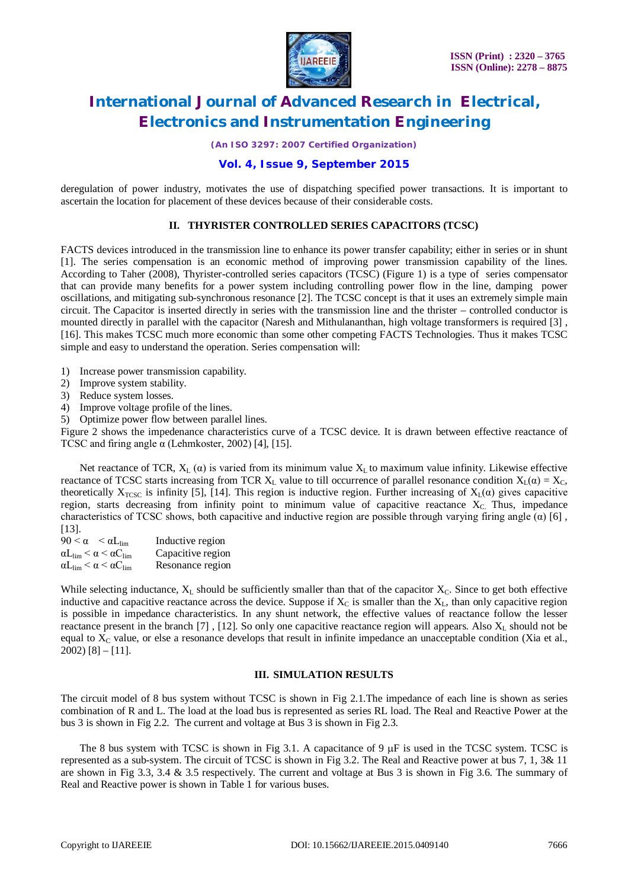

*(An ISO 3297: 2007 Certified Organization)*

## **Vol. 4, Issue 9, September 2015**

deregulation of power industry, motivates the use of dispatching specified power transactions. It is important to ascertain the location for placement of these devices because of their considerable costs.

### **II. THYRISTER CONTROLLED SERIES CAPACITORS (TCSC)**

FACTS devices introduced in the transmission line to enhance its power transfer capability; either in series or in shunt [1]. The series compensation is an economic method of improving power transmission capability of the lines. According to Taher (2008), Thyrister-controlled series capacitors (TCSC) (Figure 1) is a type of series compensator that can provide many benefits for a power system including controlling power flow in the line, damping power oscillations, and mitigating sub-synchronous resonance [2]. The TCSC concept is that it uses an extremely simple main circuit. The Capacitor is inserted directly in series with the transmission line and the thrister – controlled conductor is mounted directly in parallel with the capacitor (Naresh and Mithulananthan, high voltage transformers is required [3] , [16]. This makes TCSC much more economic than some other competing FACTS Technologies. Thus it makes TCSC simple and easy to understand the operation. Series compensation will:

- 1) Increase power transmission capability.
- 2) Improve system stability.
- 3) Reduce system losses.
- 4) Improve voltage profile of the lines.
- 5) Optimize power flow between parallel lines.

Figure 2 shows the impedenance characteristics curve of a TCSC device. It is drawn between effective reactance of TCSC and firing angle  $\alpha$  (Lehmkoster, 2002) [4], [15].

Net reactance of TCR,  $X_L(\alpha)$  is varied from its minimum value  $X_L$  to maximum value infinity. Likewise effective reactance of TCSC starts increasing from TCR  $X_L$  value to till occurrence of parallel resonance condition  $X_L(\alpha) = X_C$ , theoretically  $X_{TCSC}$  is infinity [5], [14]. This region is inductive region. Further increasing of  $X_L(\alpha)$  gives capacitive region, starts decreasing from infinity point to minimum value of capacitive reactance  $X<sub>C</sub>$ . Thus, impedance characteristics of TCSC shows, both capacitive and inductive region are possible through varying firing angle  $(\alpha)$  [6], [13].

 $90 < \alpha < \alpha L_{\text{lim}}$  Inductive region  $\alpha L_{\text{lim}} < \alpha < \alpha C_{\text{lim}}$  Capacitive region<br>  $\alpha L_{\text{lim}} < \alpha < \alpha C_{\text{lim}}$  Resonance region Resonance region

While selecting inductance,  $X_L$  should be sufficiently smaller than that of the capacitor  $X_C$ . Since to get both effective inductive and capacitive reactance across the device. Suppose if  $X_c$  is smaller than the  $X_L$ , than only capacitive region is possible in impedance characteristics. In any shunt network, the effective values of reactance follow the lesser reactance present in the branch [7], [12]. So only one capacitive reactance region will appears. Also  $X_L$  should not be equal to  $X_c$  value, or else a resonance develops that result in infinite impedance an unacceptable condition (Xia et al.,  $2002$ ) [8] – [11].

### **III. SIMULATION RESULTS**

The circuit model of 8 bus system without TCSC is shown in Fig 2.1.The impedance of each line is shown as series combination of R and L. The load at the load bus is represented as series RL load. The Real and Reactive Power at the bus 3 is shown in Fig 2.2. The current and voltage at Bus 3 is shown in Fig 2.3.

The 8 bus system with TCSC is shown in Fig 3.1. A capacitance of 9  $\mu$ F is used in the TCSC system. TCSC is represented as a sub-system. The circuit of TCSC is shown in Fig 3.2. The Real and Reactive power at bus 7, 1, 3& 11 are shown in Fig 3.3, 3.4 & 3.5 respectively. The current and voltage at Bus 3 is shown in Fig 3.6. The summary of Real and Reactive power is shown in Table 1 for various buses.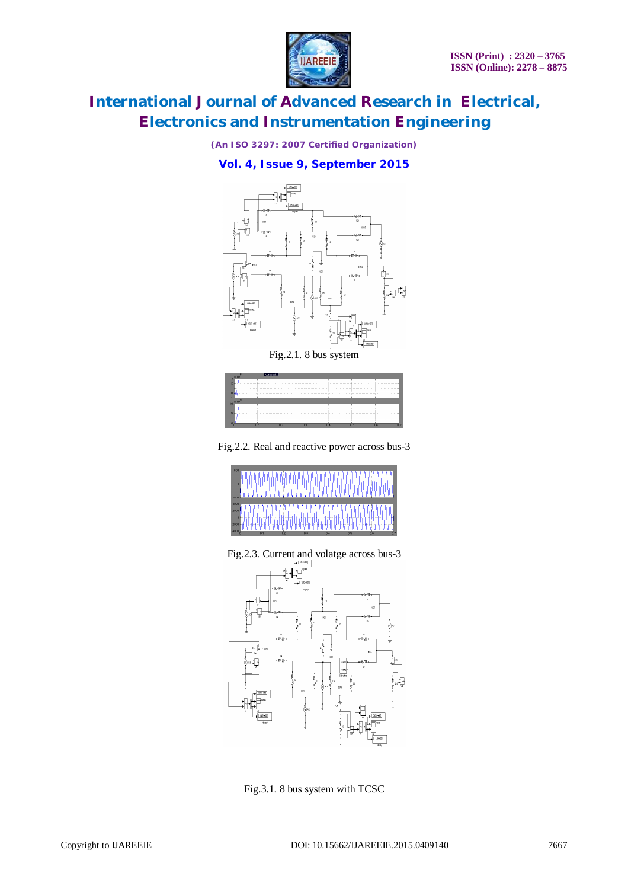

*(An ISO 3297: 2007 Certified Organization)*

# **Vol. 4, Issue 9, September 2015**



| $-3 \times 10$  | Autoscale |     |    |                |    |           |    |
|-----------------|-----------|-----|----|----------------|----|-----------|----|
|                 |           |     |    |                |    |           |    |
|                 |           |     |    |                |    |           |    |
|                 |           |     |    |                |    |           |    |
|                 |           |     |    |                |    |           |    |
| $-10 \times 10$ |           |     |    |                |    |           |    |
|                 |           |     |    |                |    |           |    |
| u               |           |     |    |                |    |           |    |
|                 |           |     |    |                |    |           |    |
|                 |           |     |    |                |    |           |    |
|                 | 0.3       | 0.2 | 03 | $\overline{0}$ | 05 | <b>OB</b> | a. |

Fig.2.2. Real and reactive power across bus-3

|                         | 11     |            | MMMMMMMMMMMM     |                                 |  |
|-------------------------|--------|------------|------------------|---------------------------------|--|
| 4000<br>2000<br>$-2000$ | $\sim$ | $\sqrt{2}$ | $\sim$<br>$\sim$ | $\overline{a}$<br>$\sim$ $\sim$ |  |

Fig.2.3. Current and volatge across bus-3



Fig.3.1. 8 bus system with TCSC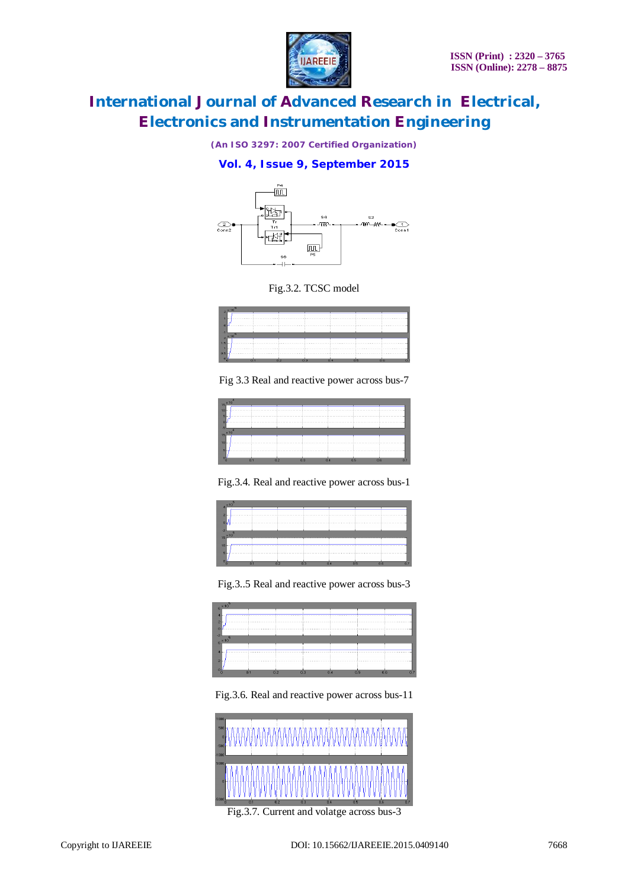

*(An ISO 3297: 2007 Certified Organization)*

# **Vol. 4, Issue 9, September 2015**



Fig.3.2. TCSC model



Fig 3.3 Real and reactive power across bus-7

| $15 \frac{\times 10}{2}$  |                |     |         |     |                |     |          |
|---------------------------|----------------|-----|---------|-----|----------------|-----|----------|
| 10                        |                |     |         |     |                |     |          |
| 5                         |                |     |         |     |                |     |          |
| $\bf{0}$                  |                |     | <b></b> |     |                |     |          |
| $-5$                      |                |     |         |     |                |     |          |
| $\mathbf{e}^{\mathbf{y}}$ |                |     |         |     |                |     |          |
|                           |                |     |         |     |                |     |          |
| 10                        |                |     |         |     |                |     |          |
| к                         |                |     |         |     |                |     |          |
|                           | n <sub>1</sub> | 0.2 | 0.3     | 0.4 | n <sub>5</sub> | 0.6 | $n \, z$ |

Fig.3.4. Real and reactive power across bus-1



Fig.3..5 Real and reactive power across bus-3



Fig.3.6. Real and reactive power across bus-11



Fig.3.7. Current and volatge across bus-3